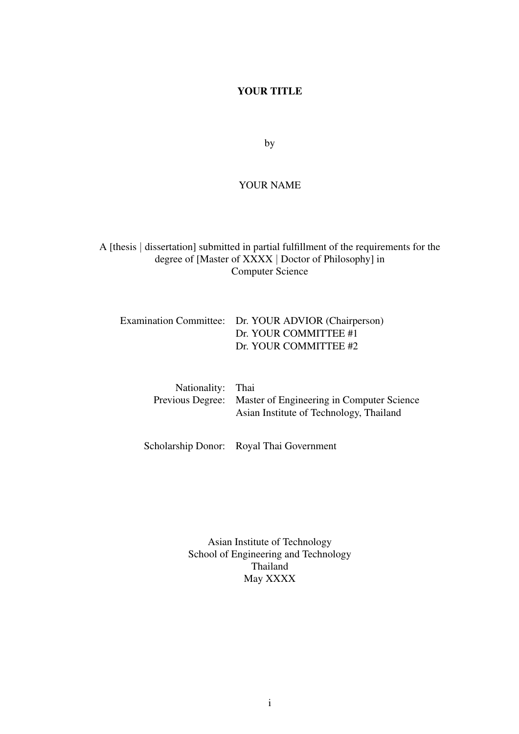#### YOUR TITLE

by

#### YOUR NAME

A [thesis | dissertation] submitted in partial fulfillment of the requirements for the degree of [Master of XXXX | Doctor of Philosophy] in Computer Science

Examination Committee: Dr. YOUR ADVIOR (Chairperson) Dr. YOUR COMMITTEE #1 Dr. YOUR COMMITTEE #2

| Nationality: Thai |                                                            |
|-------------------|------------------------------------------------------------|
|                   | Previous Degree: Master of Engineering in Computer Science |
|                   | Asian Institute of Technology, Thailand                    |

Scholarship Donor: Royal Thai Government

Asian Institute of Technology School of Engineering and Technology Thailand May XXXX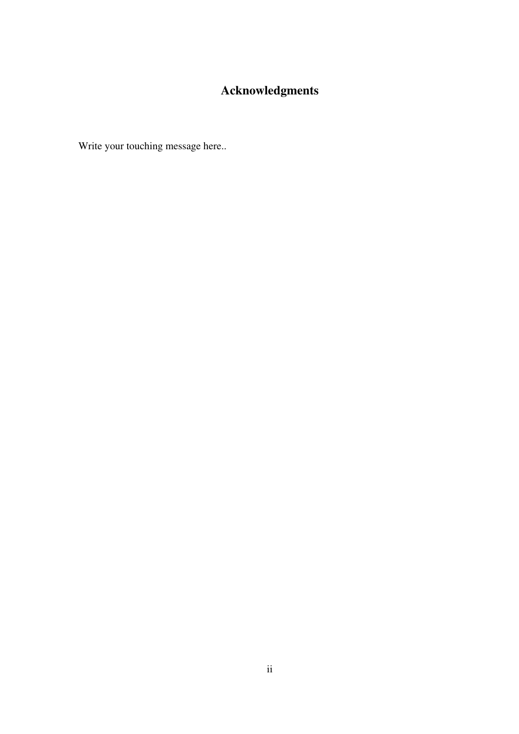# Acknowledgments

Write your touching message here..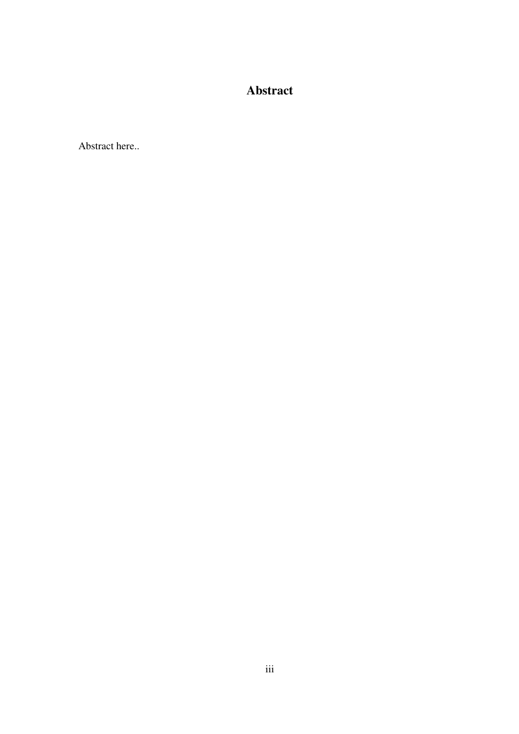### Abstract

Abstract here..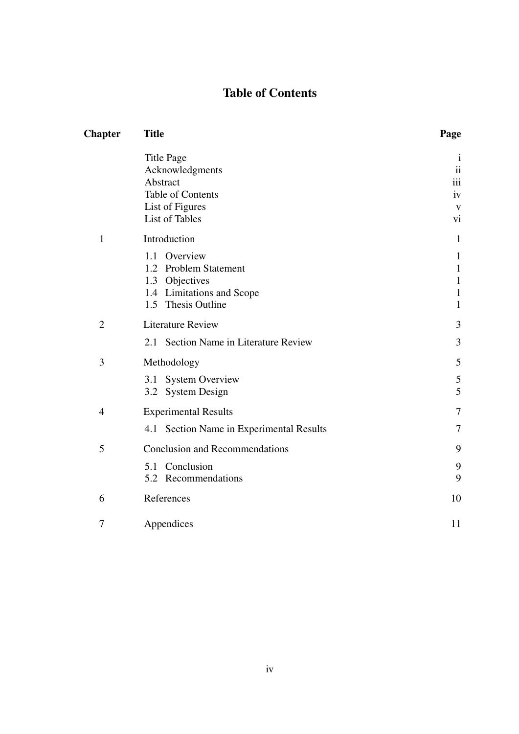## Table of Contents

| <b>Title</b>                             | Page                                                                                                                                       |  |
|------------------------------------------|--------------------------------------------------------------------------------------------------------------------------------------------|--|
| <b>Title Page</b><br>Acknowledgments     | $\mathbf{1}$<br>$\overline{\mathbf{i}}$                                                                                                    |  |
| Abstract                                 | iii                                                                                                                                        |  |
|                                          | iv                                                                                                                                         |  |
|                                          | $\mathbf{V}$<br>vi                                                                                                                         |  |
| Introduction                             | $\mathbf{1}$                                                                                                                               |  |
| 1.1 Overview                             | $\mathbf{1}$                                                                                                                               |  |
| 1.2 Problem Statement                    | $\mathbf{1}$                                                                                                                               |  |
| 1.3 Objectives                           | $\mathbf{1}$                                                                                                                               |  |
|                                          | $\mathbf{1}$                                                                                                                               |  |
|                                          | $\mathbf{1}$                                                                                                                               |  |
| <b>Literature Review</b>                 | 3                                                                                                                                          |  |
| 2.1 Section Name in Literature Review    | 3                                                                                                                                          |  |
| Methodology                              | 5                                                                                                                                          |  |
| 3.1                                      | 5                                                                                                                                          |  |
| 3.2 System Design                        | 5                                                                                                                                          |  |
| <b>Experimental Results</b>              | 7                                                                                                                                          |  |
| 4.1 Section Name in Experimental Results | 7                                                                                                                                          |  |
| <b>Conclusion and Recommendations</b>    | 9                                                                                                                                          |  |
| 5.1 Conclusion                           | 9                                                                                                                                          |  |
| 5.2 Recommendations                      | 9                                                                                                                                          |  |
| References                               | 10                                                                                                                                         |  |
| Appendices                               | 11                                                                                                                                         |  |
|                                          | Table of Contents<br>List of Figures<br><b>List of Tables</b><br>1.4 Limitations and Scope<br>1.5 Thesis Outline<br><b>System Overview</b> |  |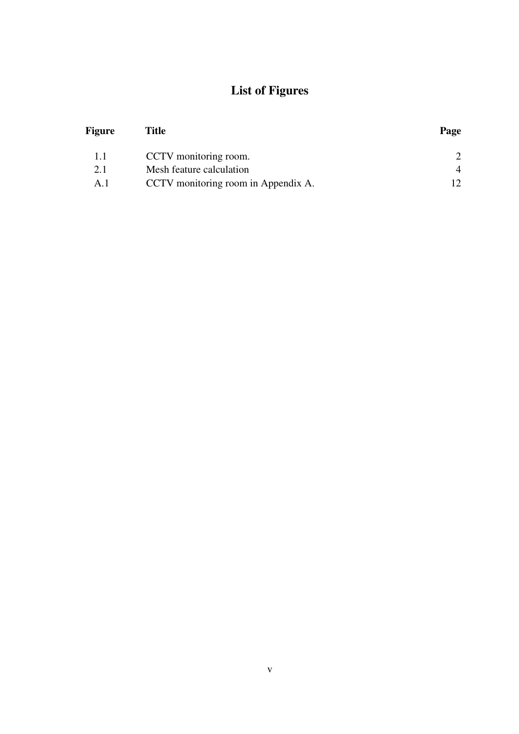# List of Figures

| Figure | <b>Title</b>                        | Page |
|--------|-------------------------------------|------|
| 1.1    | CCTV monitoring room.               |      |
| 2.1    | Mesh feature calculation            | 4    |
| A.1    | CCTV monitoring room in Appendix A. |      |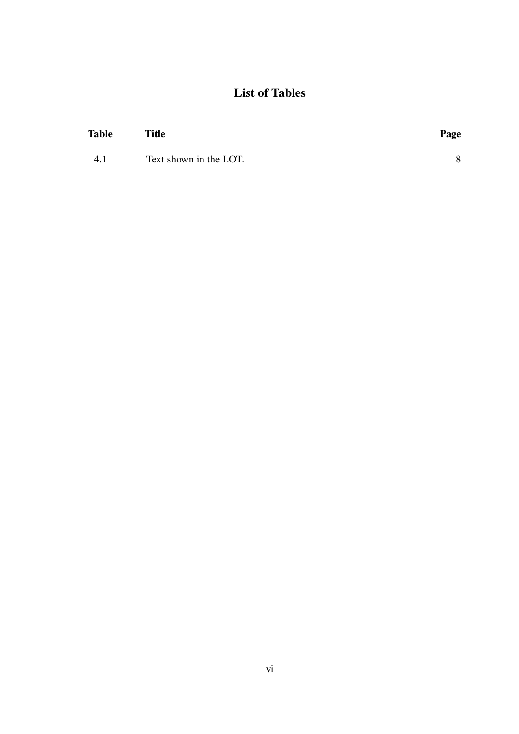# List of Tables

| Table | <b>Title</b>           | Page |
|-------|------------------------|------|
| 4.1   | Text shown in the LOT. |      |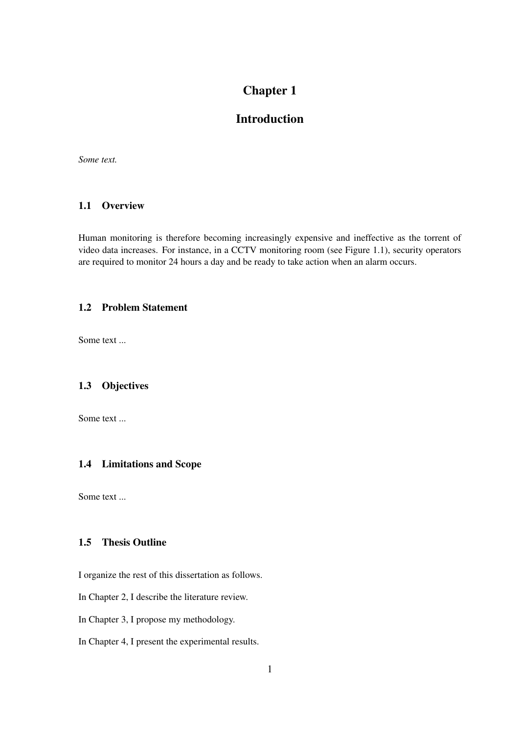### Introduction

*Some text.*

#### 1.1 Overview

Human monitoring is therefore becoming increasingly expensive and ineffective as the torrent of video data increases. For instance, in a CCTV monitoring room (see Figure 1.1), security operators are required to monitor 24 hours a day and be ready to take action when an alarm occurs.

#### 1.2 Problem Statement

Some text ...

#### 1.3 Objectives

Some text ...

#### 1.4 Limitations and Scope

Some text ...

#### 1.5 Thesis Outline

I organize the rest of this dissertation as follows.

In Chapter 2, I describe the literature review.

In Chapter 3, I propose my methodology.

In Chapter 4, I present the experimental results.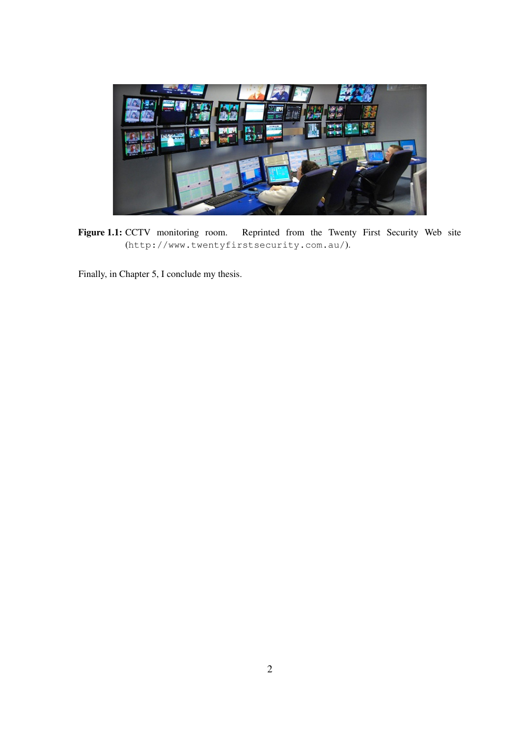

Figure 1.1: CCTV monitoring room. Reprinted from the Twenty First Security Web site (http://www.twentyfirstsecurity.com.au/).

Finally, in Chapter 5, I conclude my thesis.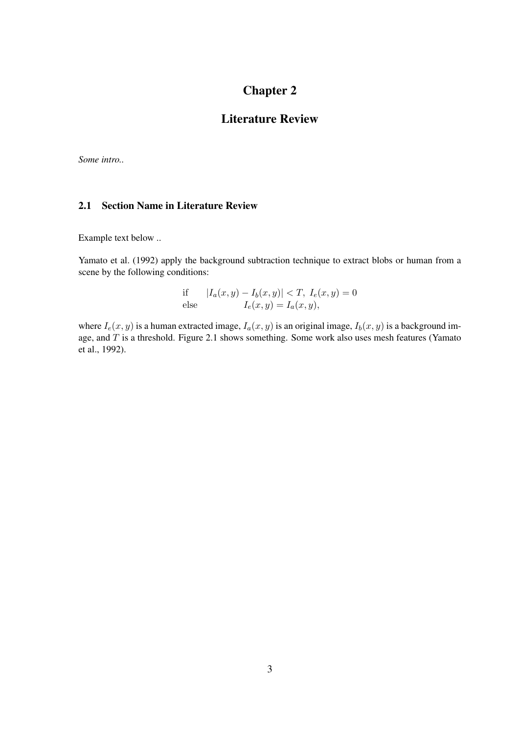### Literature Review

*Some intro..*

#### 2.1 Section Name in Literature Review

Example text below ..

Yamato et al. (1992) apply the background subtraction technique to extract blobs or human from a scene by the following conditions:

if 
$$
|I_a(x, y) - I_b(x, y)| < T
$$
,  $I_e(x, y) = 0$   
else  $I_e(x, y) = I_a(x, y)$ ,

where  $I_e(x, y)$  is a human extracted image,  $I_a(x, y)$  is an original image,  $I_b(x, y)$  is a background image, and  $T$  is a threshold. Figure 2.1 shows something. Some work also uses mesh features (Yamato et al., 1992).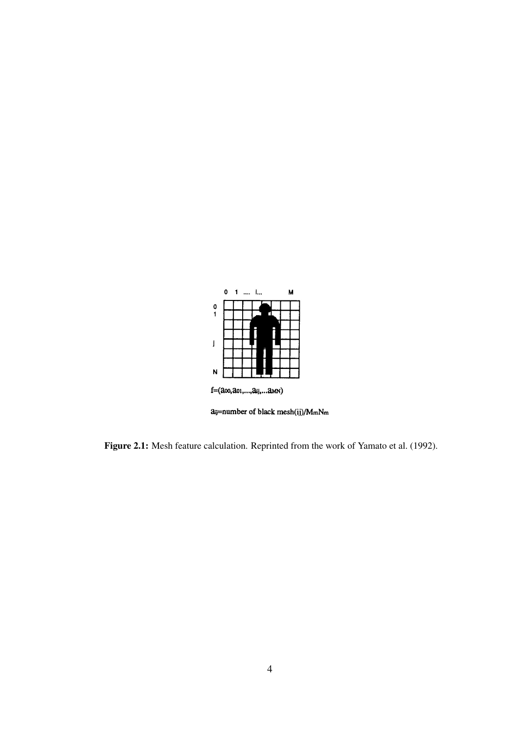

Figure 2.1: Mesh feature calculation. Reprinted from the work of Yamato et al. (1992).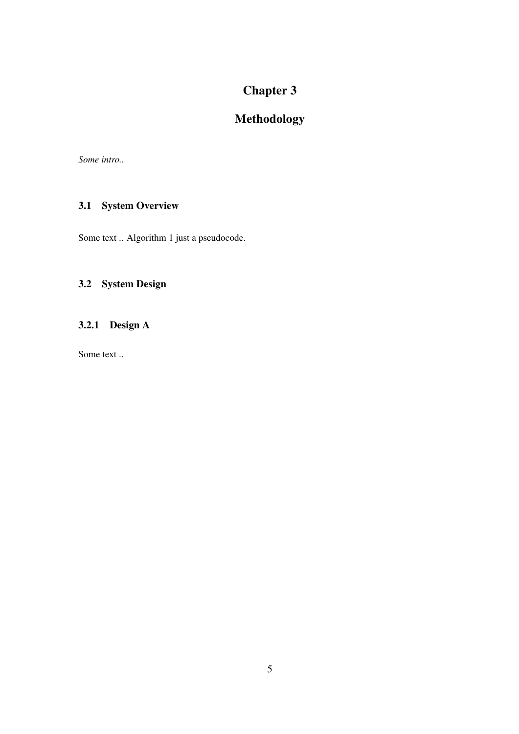# Methodology

*Some intro..*

### 3.1 System Overview

Some text .. Algorithm 1 just a pseudocode.

### 3.2 System Design

### 3.2.1 Design A

Some text ..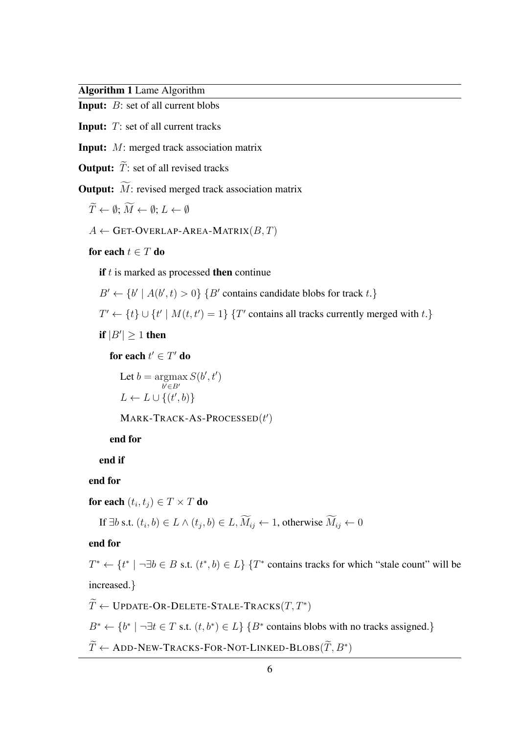Algorithm 1 Lame Algorithm

Input: B: set of all current blobs

**Input:**  $T$ : set of all current tracks

Input: M: merged track association matrix

**Output:**  $\widetilde{T}$ : set of all revised tracks

**Output:**  $\widetilde{M}$ : revised merged track association matrix

 $\widetilde{T} \leftarrow \emptyset: \widetilde{M} \leftarrow \emptyset: L \leftarrow \emptyset$ 

 $A \leftarrow$  GET-OVERLAP-AREA-MATRIX $(B, T)$ 

for each  $t \in T$  do

if  $t$  is marked as processed then continue

 $B' \leftarrow \{b' \mid A(b', t) > 0\}$  { B' contains candidate blobs for track t.}

 $T' \leftarrow \{t\} \cup \{t' \mid M(t, t') = 1\}$  {T' contains all tracks currently merged with t.}

if  $|B'| \geq 1$  then

for each  $t' \in T'$  do

Let  $b = \text{argmax}$  $b' \in B'$  $S(b', t')$  $L \leftarrow L \cup \{(t', b)\}$ 

 $M$ ARK-TRACK-AS-PROCESSED $(t')$ 

end for

end if

end for

for each  $(t_i,t_j) \in T \times T$  do

If  $\exists b$  s.t.  $(t_i, b) \in L \wedge (t_j, b) \in L$ ,  $M_{ij} \leftarrow 1$ , otherwise  $M_{ij} \leftarrow 0$ 

end for

 $T^* \leftarrow \{t^* \mid \neg \exists b \in B \text{ s.t. } (t^*, b) \in L\}$  {  $T^*$  contains tracks for which "stale count" will be increased.}

 $\widetilde{T} \leftarrow \texttt{UPDATE-OR-DELETE-STALE-TRACKS}(T,T^*)$ 

 $B^* \leftarrow \{b^* \mid \neg \exists t \in T \text{ s.t. } (t, b^*) \in L\}$  { $B^*$  contains blobs with no tracks assigned.}

 $\widetilde{T} \leftarrow \text{ADD-NEW-TRACKS-FOR-NOT-LINKED-BLOBS}(\widetilde{T}, B^*)$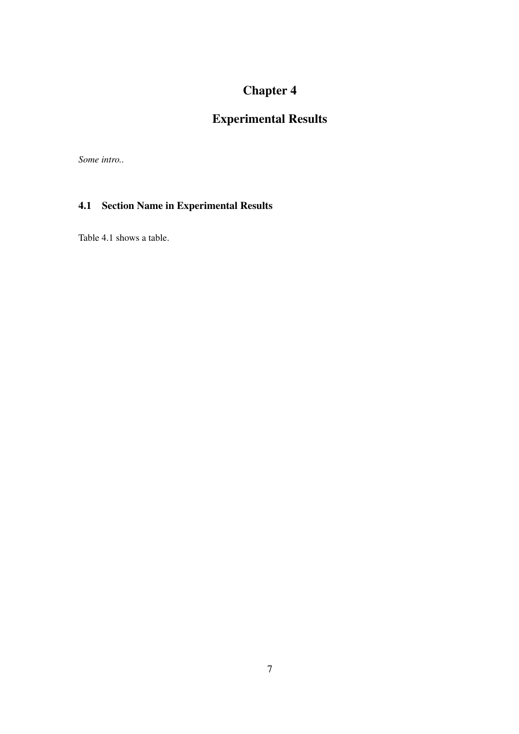# Experimental Results

*Some intro..*

### 4.1 Section Name in Experimental Results

Table 4.1 shows a table.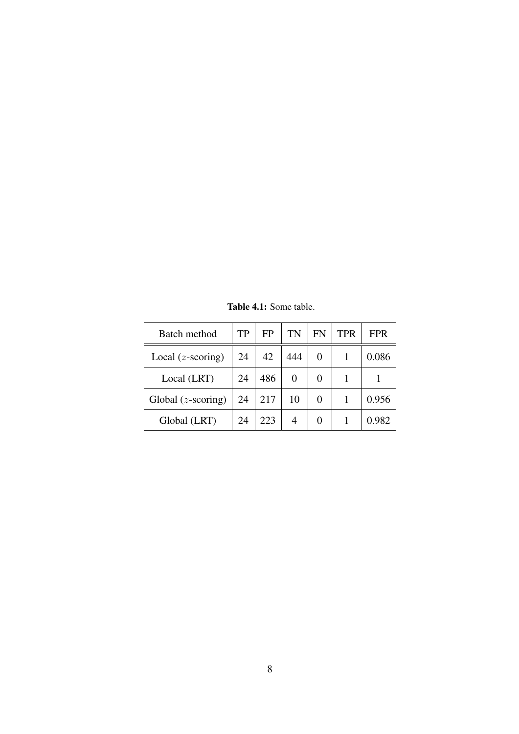| Batch method                | TP | FP  | TN  | FN | TPR | <b>FPR</b> |
|-----------------------------|----|-----|-----|----|-----|------------|
| Local $(z\text{-scoring})$  | 24 | 42  | 444 | 0  |     | 0.086      |
| Local (LRT)                 | 24 | 486 | 0   | 0  |     |            |
| Global $(z\text{-scoring})$ | 24 | 217 | 10  | 0  |     | 0.956      |
| Global (LRT)                | 24 | 223 |     | 0  |     | 0.982      |

Table 4.1: Some table.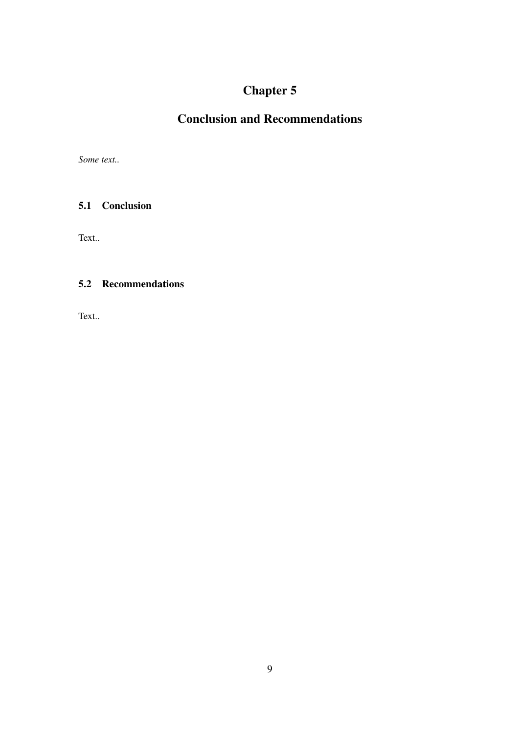# Conclusion and Recommendations

*Some text..*

### 5.1 Conclusion

Text..

### 5.2 Recommendations

Text..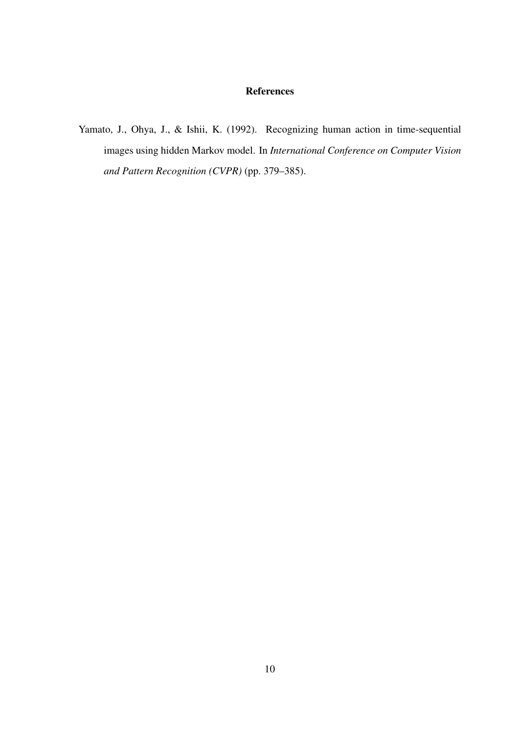#### References

Yamato, J., Ohya, J., & Ishii, K. (1992). Recognizing human action in time-sequential images using hidden Markov model. In *International Conference on Computer Vision and Pattern Recognition (CVPR)* (pp. 379–385).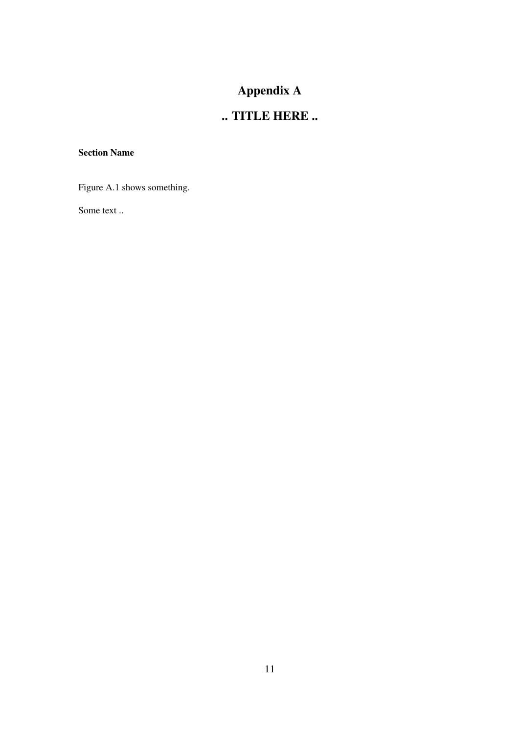# Appendix A

# .. TITLE HERE ..

#### Section Name

Figure A.1 shows something.

Some text ..